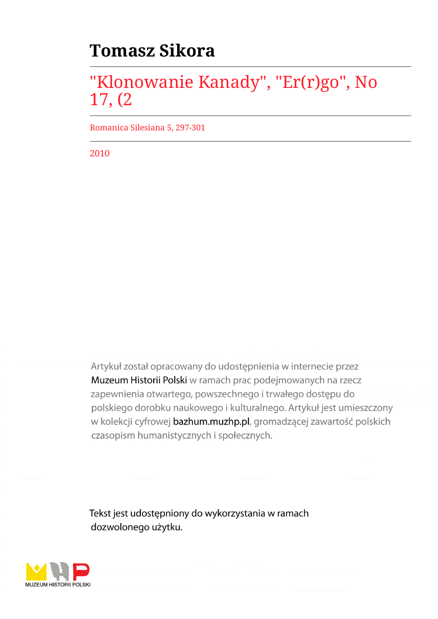## **Tomasz Sikora**

## "Klonowanie Kanady", "Er(r)go", No 17, (2

Romanica Silesiana 5, 297-301

2010

Artykuł został opracowany do udostępnienia w internecie przez Muzeum Historii Polski w ramach prac podejmowanych na rzecz zapewnienia otwartego, powszechnego i trwałego dostępu do polskiego dorobku naukowego i kulturalnego. Artykuł jest umieszczony w kolekcji cyfrowej bazhum.muzhp.pl, gromadzącej zawartość polskich czasopism humanistycznych i społecznych.

Tekst jest udostępniony do wykorzystania w ramach dozwolonego użytku.

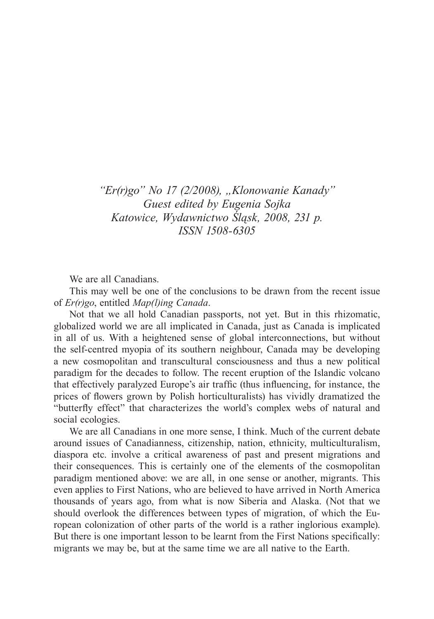"Er(r)go" No 17 (2/2008), "Klonowanie Kanady" *Guest edited by Eugenia Sojka Katowice, Wydawnictwo Śląsk, 2008, 231 p. ISSN 1508-6305*

We are all Canadians.

This may well be one of the conclusions to be drawn from the recent issue of *Er(r)go*, entitled *Map(l)ing Canada*.

Not that we all hold Canadian passports, not yet. But in this rhizomatic, globalized world we are all implicated in Canada, just as Canada is implicated in all of us. With a heightened sense of global interconnections, but without the self-centred myopia of its southern neighbour, Canada may be developing a new cosmopolitan and transcultural consciousness and thus a new political paradigm for the decades to follow. The recent eruption of the Islandic volcano that effectively paralyzed Europe's air traffic (thus influencing, for instance, the prices of flowers grown by Polish horticulturalists) has vividly dramatized the "butterfly effect" that characterizes the world's complex webs of natural and social ecologies.

We are all Canadians in one more sense, I think. Much of the current debate around issues of Canadianness, citizenship, nation, ethnicity, multiculturalism, diaspora etc. involve a critical awareness of past and present migrations and their consequences. This is certainly one of the elements of the cosmopolitan paradigm mentioned above: we are all, in one sense or another, migrants. This even applies to First Nations, who are believed to have arrived in North America thousands of years ago, from what is now Siberia and Alaska. (Not that we should overlook the differences between types of migration, of which the European colonization of other parts of the world is a rather inglorious example). But there is one important lesson to be learnt from the First Nations specifically: migrants we may be, but at the same time we are all native to the Earth.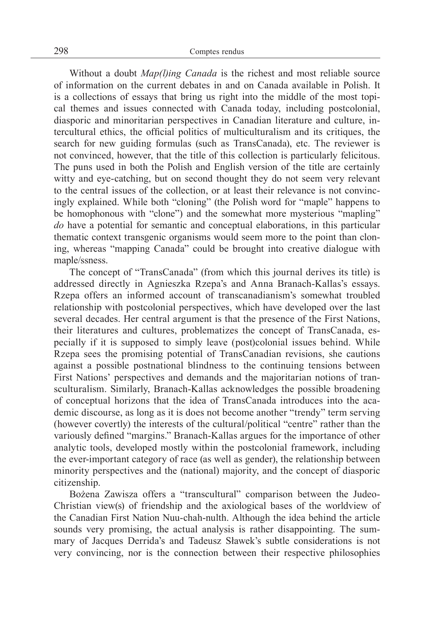Without a doubt *Map(l)ing Canada* is the richest and most reliable source of information on the current debates in and on Canada available in Polish. It is a collections of essays that bring us right into the middle of the most topical themes and issues connected with Canada today, including postcolonial, diasporic and minoritarian perspectives in Canadian literature and culture, intercultural ethics, the official politics of multiculturalism and its critiques, the search for new guiding formulas (such as TransCanada), etc. The reviewer is not convinced, however, that the title of this collection is particularly felicitous. The puns used in both the Polish and English version of the title are certainly witty and eye-catching, but on second thought they do not seem very relevant to the central issues of the collection, or at least their relevance is not convincingly explained. While both "cloning" (the Polish word for "maple" happens to be homophonous with "clone") and the somewhat more mysterious "mapling" *do* have a potential for semantic and conceptual elaborations, in this particular thematic context transgenic organisms would seem more to the point than cloning, whereas "mapping Canada" could be brought into creative dialogue with maple/ssness.

The concept of "TransCanada" (from which this journal derives its title) is addressed directly in Agnieszka Rzepa's and Anna Branach-Kallas's essays. Rzepa offers an informed account of transcanadianism's somewhat troubled relationship with postcolonial perspectives, which have developed over the last several decades. Her central argument is that the presence of the First Nations, their literatures and cultures, problematizes the concept of TransCanada, especially if it is supposed to simply leave (post)colonial issues behind. While Rzepa sees the promising potential of TransCanadian revisions, she cautions against a possible postnational blindness to the continuing tensions between First Nations' perspectives and demands and the majoritarian notions of transculturalism. Similarly, Branach-Kallas acknowledges the possible broadening of conceptual horizons that the idea of TransCanada introduces into the academic discourse, as long as it is does not become another "trendy" term serving (however covertly) the interests of the cultural/political "centre" rather than the variously defined "margins." Branach-Kallas argues for the importance of other analytic tools, developed mostly within the postcolonial framework, including the ever-important category of race (as well as gender), the relationship between minority perspectives and the (national) majority, and the concept of diasporic citizenship.

Bożena Zawisza offers a "transcultural" comparison between the Judeo-Christian view(s) of friendship and the axiological bases of the worldview of the Canadian First Nation Nuu-chah-nulth. Although the idea behind the article sounds very promising, the actual analysis is rather disappointing. The summary of Jacques Derrida's and Tadeusz Sławek's subtle considerations is not very convincing, nor is the connection between their respective philosophies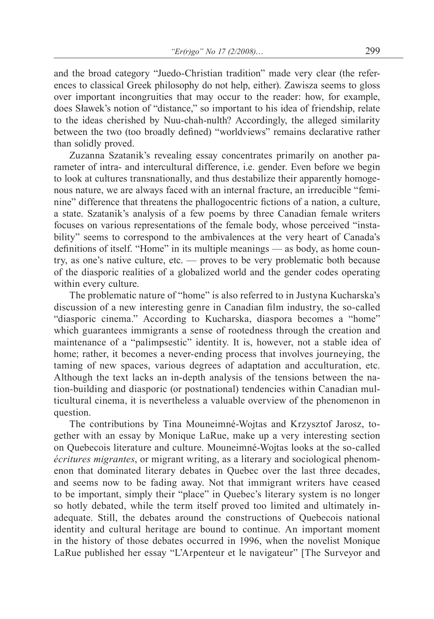and the broad category "Juedo-Christian tradition" made very clear (the references to classical Greek philosophy do not help, either). Zawisza seems to gloss over important incongruities that may occur to the reader: how, for example, does Sławek's notion of "distance," so important to his idea of friendship, relate to the ideas cherished by Nuu-chah-nulth? Accordingly, the alleged similarity between the two (too broadly defined) "worldviews" remains declarative rather than solidly proved.

Zuzanna Szatanik's revealing essay concentrates primarily on another parameter of intra- and intercultural difference, i.e. gender. Even before we begin to look at cultures transnationally, and thus destabilize their apparently homogenous nature, we are always faced with an internal fracture, an irreducible "feminine" difference that threatens the phallogocentric fictions of a nation, a culture, a state. Szatanik's analysis of a few poems by three Canadian female writers focuses on various representations of the female body, whose perceived "instability" seems to correspond to the ambivalences at the very heart of Canada's definitions of itself. "Home" in its multiple meanings — as body, as home country, as one's native culture, etc. — proves to be very problematic both because of the diasporic realities of a globalized world and the gender codes operating within every culture.

The problematic nature of "home" is also referred to in Justyna Kucharska's discussion of a new interesting genre in Canadian film industry, the so-called "diasporic cinema." According to Kucharska, diaspora becomes a "home" which guarantees immigrants a sense of rootedness through the creation and maintenance of a "palimpsestic" identity. It is, however, not a stable idea of home; rather, it becomes a never-ending process that involves journeying, the taming of new spaces, various degrees of adaptation and acculturation, etc. Although the text lacks an in-depth analysis of the tensions between the nation-building and diasporic (or postnational) tendencies within Canadian multicultural cinema, it is nevertheless a valuable overview of the phenomenon in question.

The contributions by Tina Mouneimné-Wojtas and Krzysztof Jarosz, together with an essay by Monique LaRue, make up a very interesting section on Quebecois literature and culture. Mouneimné-Wojtas looks at the so-called *écritures migrantes*, or migrant writing, as a literary and sociological phenomenon that dominated literary debates in Quebec over the last three decades, and seems now to be fading away. Not that immigrant writers have ceased to be important, simply their "place" in Quebec's literary system is no longer so hotly debated, while the term itself proved too limited and ultimately inadequate. Still, the debates around the constructions of Quebecois national identity and cultural heritage are bound to continue. An important moment in the history of those debates occurred in 1996, when the novelist Monique LaRue published her essay "L'Arpenteur et le navigateur" [The Surveyor and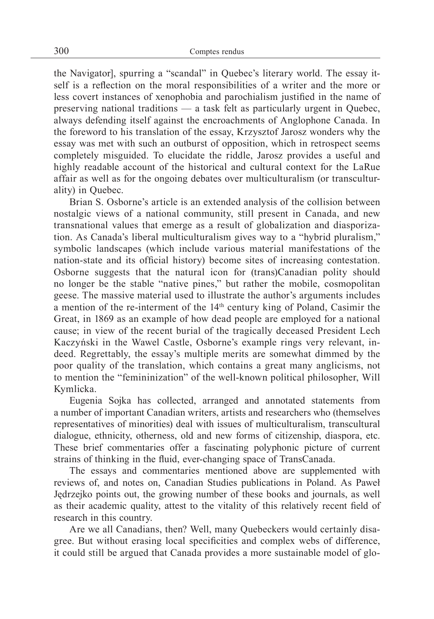the Navigator], spurring a "scandal" in Quebec's literary world. The essay itself is a reflection on the moral responsibilities of a writer and the more or less covert instances of xenophobia and parochialism justified in the name of preserving national traditions — a task felt as particularly urgent in Quebec, always defending itself against the encroachments of Anglophone Canada. In the foreword to his translation of the essay, Krzysztof Jarosz wonders why the essay was met with such an outburst of opposition, which in retrospect seems completely misguided. To elucidate the riddle, Jarosz provides a useful and highly readable account of the historical and cultural context for the LaRue affair as well as for the ongoing debates over multiculturalism (or transculturality) in Quebec.

Brian S. Osborne's article is an extended analysis of the collision between nostalgic views of a national community, still present in Canada, and new transnational values that emerge as a result of globalization and diasporization. As Canada's liberal multiculturalism gives way to a "hybrid pluralism," symbolic landscapes (which include various material manifestations of the nation-state and its official history) become sites of increasing contestation. Osborne suggests that the natural icon for (trans)Canadian polity should no longer be the stable "native pines," but rather the mobile, cosmopolitan geese. The massive material used to illustrate the author's arguments includes a mention of the re-interment of the 14th century king of Poland, Casimir the Great, in 1869 as an example of how dead people are employed for a national cause; in view of the recent burial of the tragically deceased President Lech Kaczyński in the Wawel Castle, Osborne's example rings very relevant, indeed. Regrettably, the essay's multiple merits are somewhat dimmed by the poor quality of the translation, which contains a great many anglicisms, not to mention the "femininization" of the well-known political philosopher, Will Kymlicka.

Eugenia Sojka has collected, arranged and annotated statements from a number of important Canadian writers, artists and researchers who (themselves representatives of minorities) deal with issues of multiculturalism, transcultural dialogue, ethnicity, otherness, old and new forms of citizenship, diaspora, etc. These brief commentaries offer a fascinating polyphonic picture of current strains of thinking in the fluid, ever-changing space of TransCanada.

The essays and commentaries mentioned above are supplemented with reviews of, and notes on, Canadian Studies publications in Poland. As Paweł Jędrzejko points out, the growing number of these books and journals, as well as their academic quality, attest to the vitality of this relatively recent field of research in this country.

Are we all Canadians, then? Well, many Quebeckers would certainly disagree. But without erasing local specificities and complex webs of difference, it could still be argued that Canada provides a more sustainable model of glo